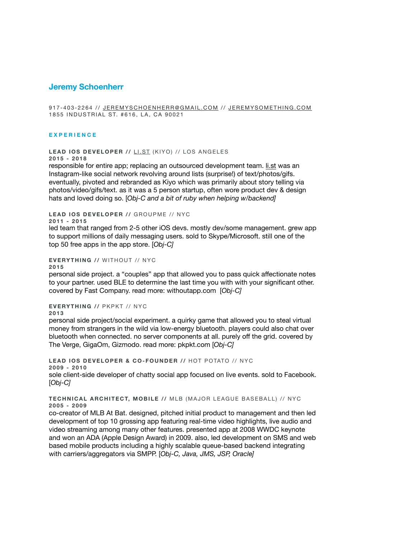# **Jeremy Schoenherr**

917-403-2264 // [JEREMYSCHOENHERR@GMAIL.COM](mailto:jeremyschoenherr@gmail.com) // [JEREMYSOMETHING.COM](http://jeremysomething.com) 1855 INDUSTRIAL ST. #616, LA, CA 90021

#### **EXPERIENCE**

**LEAD IOS DEVELOPER //** [LI.ST](http://li.st) (KIYO) // LOS ANGELES

**2015 - 2018**

responsible for entire app; replacing an outsourced development team. [li.st](http://li.st) was an Instagram-like social network revolving around lists (surprise!) of text/photos/gifs. eventually, pivoted and rebranded as Kiyo which was primarily about story telling via photos/video/gifs/text. as it was a 5 person startup, often wore product dev & design hats and loved doing so. [*Obj-C and a bit of ruby when helping w/backend]*

**LEAD IOS DEVELOPER //** GROUPME // NYC

**2011 - 2015**

led team that ranged from 2-5 other iOS devs. mostly dev/some management. grew app to support millions of daily messaging users. sold to Skype/Microsoft. still one of the top 50 free apps in the app store. [*Obj-C]* 

### **EVERYTHING //** WITHOUT // NYC

**2015**

personal side project. a "couples" app that allowed you to pass quick affectionate notes to your partner. used BLE to determine the last time you with with your significant other. covered by Fast Company. read more: withoutapp.com [*Obj-C]* 

## **EVERYTHING //** PKPKT // NYC

**2013**

personal side project/social experiment. a quirky game that allowed you to steal virtual money from strangers in the wild via low-energy bluetooth. players could also chat over bluetooth when connected. no server components at all. purely off the grid. covered by The Verge, GigaOm, Gizmodo. read more: pkpkt.com [*Obj-C]* 

**LEAD IOS DEVELOPER & CO-FOUNDER //** HOT POTATO // NYC **2009 - 2010** sole client-side developer of chatty social app focused on live events. sold to Facebook. [*Obj-C]* 

#### **TECHNICAL ARCHITECT, MOBILE //** MLB (MAJOR LEAGUE BASEBALL) // NYC **2005 - 2009**

co-creator of MLB At Bat. designed, pitched initial product to management and then led development of top 10 grossing app featuring real-time video highlights, live audio and video streaming among many other features. presented app at 2008 WWDC keynote and won an ADA (Apple Design Award) in 2009. also, led development on SMS and web based mobile products including a highly scalable queue-based backend integrating with carriers/aggregators via SMPP. [*Obj-C, Java, JMS, JSP, Oracle]*